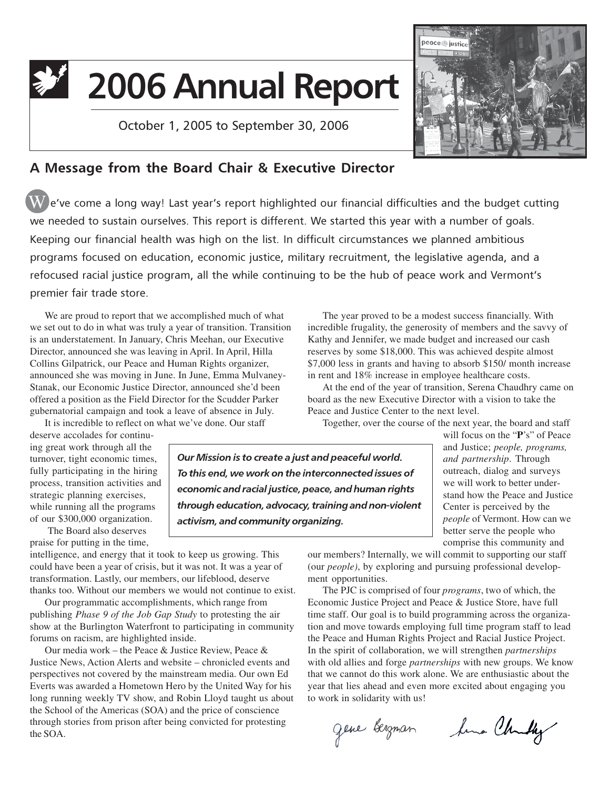# 22 2006 Annual Report

October 1, 2005 to September 30, 2006



# A Message from the Board Chair & Executive Director

 $\overline{\textbf{W}}$  e've come a long way! Last year's report highlighted our financial difficulties and the budget cutting we needed to sustain ourselves. This report is different. We started this year with a number of goals. Keeping our financial health was high on the list. In difficult circumstances we planned ambitious programs focused on education, economic justice, military recruitment, the legislative agenda, and a refocused racial justice program, all the while continuing to be the hub of peace work and Vermont's premier fair trade store.

We are proud to report that we accomplished much of what we set out to do in what was truly a year of transition. Transition is an understatement. In January, Chris Meehan, our Executive Director, announced she was leaving in April. In April, Hilla Collins Gilpatrick, our Peace and Human Rights organizer, announced she was moving in June. In June, Emma Mulvaney-Stanak, our Economic Justice Director, announced she'd been offered a position as the Field Director for the Scudder Parker gubernatorial campaign and took a leave of absence in July.

It is incredible to reflect on what we've done. Our staff

deserve accolades for continuing great work through all the turnover, tight economic times, fully participating in the hiring process, transition activities and strategic planning exercises, while running all the programs of our \$300,000 organization.

The Board also deserves praise for putting in the time,

intelligence, and energy that it took to keep us growing. This could have been a year of crisis, but it was not. It was a year of transformation. Lastly, our members, our lifeblood, deserve thanks too. Without our members we would not continue to exist.

Our programmatic accomplishments, which range from publishing *Phase 9 of the Job Gap Study* to protesting the air show at the Burlington Waterfront to participating in community forums on racism, are highlighted inside.

Our media work – the Peace & Justice Review, Peace & Justice News, Action Alerts and website – chronicled events and perspectives not covered by the mainstream media. Our own Ed Everts was awarded a Hometown Hero by the United Way for his long running weekly TV show, and Robin Lloyd taught us about the School of the Americas (SOA) and the price of conscience through stories from prison after being convicted for protesting the SOA.

The year proved to be a modest success financially. With incredible frugality, the generosity of members and the savvy of Kathy and Jennifer, we made budget and increased our cash reserves by some \$18,000. This was achieved despite almost \$7,000 less in grants and having to absorb \$150/ month increase in rent and 18% increase in employee healthcare costs.

At the end of the year of transition, Serena Chaudhry came on board as the new Executive Director with a vision to take the Peace and Justice Center to the next level.

Together, over the course of the next year, the board and staff

Our Mission is to create a just and peaceful world. To this end, we work on the interconnected issues of economic and racial justice, peace, and human rights through education, advocacy, training and non-violent activism, and community organizing.

will focus on the "**P**'s" of Peace and Justice; *people, programs, and partnership*. Through outreach, dialog and surveys we will work to better understand how the Peace and Justice Center is perceived by the *people* of Vermont. How can we better serve the people who comprise this community and

our members? Internally, we will commit to supporting our staff (our *people)*, by exploring and pursuing professional development opportunities.

The PJC is comprised of four *programs*, two of which, the Economic Justice Project and Peace & Justice Store, have full time staff. Our goal is to build programming across the organization and move towards employing full time program staff to lead the Peace and Human Rights Project and Racial Justice Project. In the spirit of collaboration, we will strengthen *partnerships* with old allies and forge *partnerships* with new groups. We know that we cannot do this work alone. We are enthusiastic about the year that lies ahead and even more excited about engaging you to work in solidarity with us!

gene bergman tema Churchy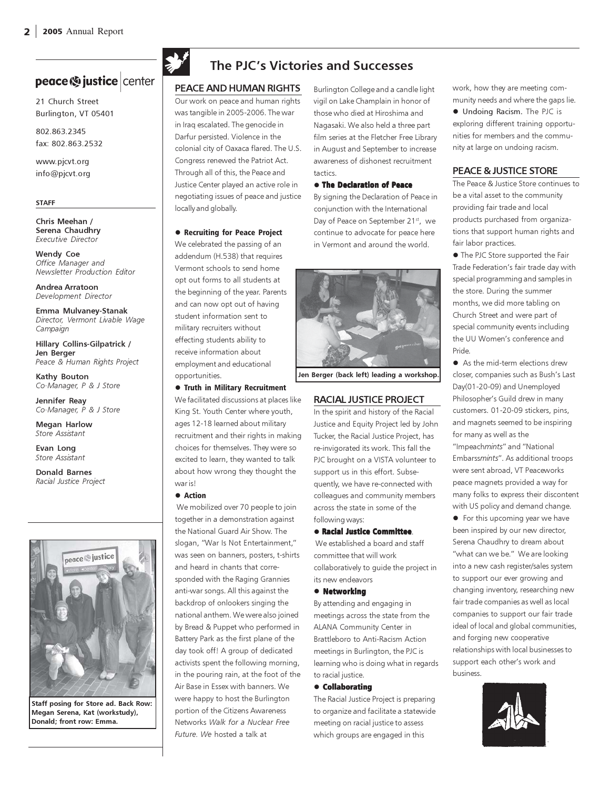# peace <a>
justice | center

21 Church Street Burlington, VT 05401

802.863.2345 fax: 802.863.2532

www.pjcvt.org info@pjcvt.org

#### STAFF

Chris Meehan / Serena Chaudhry Executive Director

Wendy Coe Office Manager and Newsletter Production Editor

Andrea Arratoon Development Director

Emma Mulvaney-Stanak Director, Vermont Livable Wage Campaign

Hillary Collins-Gilpatrick / Jen Berger Peace & Human Rights Project

Kathy Bouton Co-Manager, P & J Store

Jennifer Reay Co-Manager, P & J Store

Megan Harlow Store Assistant

Evan Long Store Assistant

Donald Barnes Racial Justice Project



Staff posing for Store ad. Back Row: Megan Serena, Kat (workstudy), Donald; front row: Emma.



# The PJC's Victories and Successes

#### PEACE AND HUMAN RIGHTS

Our work on peace and human rights was tangible in 2005-2006. The war in Iraq escalated. The genocide in Darfur persisted. Violence in the colonial city of Oaxaca flared. The U.S. Congress renewed the Patriot Act. Through all of this, the Peace and Justice Center played an active role in negotiating issues of peace and justice locally and globally.

#### **• Recruiting for Peace Project**

We celebrated the passing of an addendum (H.538) that requires Vermont schools to send home opt out forms to all students at the beginning of the year. Parents and can now opt out of having student information sent to military recruiters without effecting students ability to receive information about employment and educational opportunities.

**• Truth in Military Recruitment** We facilitated discussions at places like King St. Youth Center where youth, ages 12-18 learned about military recruitment and their rights in making choices for themselves. They were so excited to learn, they wanted to talk about how wrong they thought the war is!

#### • Action

 We mobilized over 70 people to join together in a demonstration against the National Guard Air Show. The slogan, "War Is Not Entertainment," was seen on banners, posters, t-shirts and heard in chants that corresponded with the Raging Grannies anti-war songs. All this against the backdrop of onlookers singing the national anthem. We were also joined by Bread & Puppet who performed in Battery Park as the first plane of the day took off! A group of dedicated activists spent the following morning, in the pouring rain, at the foot of the Air Base in Essex with banners. We were happy to host the Burlington portion of the Citizens Awareness Networks Walk for a Nuclear Free Future. We hosted a talk at

Burlington College and a candle light vigil on Lake Champlain in honor of those who died at Hiroshima and Nagasaki. We also held a three part film series at the Fletcher Free Library in August and September to increase awareness of dishonest recruitment tactics.

#### **• The Declaration of Peace**

By signing the Declaration of Peace in conjunction with the International Day of Peace on September 21<sup>st</sup>, we continue to advocate for peace here in Vermont and around the world.



Jen Berger (back left) leading a workshop.

#### RACIAL JUSTICE PROJECT

In the spirit and history of the Racial Justice and Equity Project led by John Tucker, the Racial Justice Project, has re-invigorated its work. This fall the PJC brought on a VISTA volunteer to support us in this effort. Subsequently, we have re-connected with colleagues and community members across the state in some of the following ways:

#### - Racial Justice Committee.

 We established a board and staff committee that will work collaboratively to guide the project in its new endeavors

#### • Networking

By attending and engaging in meetings across the state from the ALANA Community Center in Brattleboro to Anti-Racism Action meetings in Burlington, the PJC is learning who is doing what in regards to racial justice.

#### $\bullet$  Collaborating

The Racial Justice Project is preparing to organize and facilitate a statewide meeting on racial justice to assess which groups are engaged in this

work, how they are meeting community needs and where the gaps lie.  $\bullet$  Undoing Racism. The PJC is exploring different training opportunities for members and the community at large on undoing racism.

#### PEACE & JUSTICE STORE

The Peace & Justice Store continues to be a vital asset to the community providing fair trade and local products purchased from organizations that support human rights and fair labor practices.

**•** The PJC Store supported the Fair Trade Federation's fair trade day with special programming and samples in the store. During the summer months, we did more tabling on Church Street and were part of special community events including the UU Women's conference and Pride.

• As the mid-term elections drew closer, companies such as Bush's Last Day(01-20-09) and Unemployed Philosopher's Guild drew in many customers. 01-20-09 stickers, pins, and magnets seemed to be inspiring for many as well as the "Impeachmints" and "National Embarssmints". As additional troops were sent abroad, VT Peaceworks peace magnets provided a way for many folks to express their discontent with US policy and demand change.

**•** For this upcoming year we have been inspired by our new director, Serena Chaudhry to dream about "what can we be." We are looking into a new cash register/sales system to support our ever growing and changing inventory, researching new fair trade companies as well as local companies to support our fair trade ideal of local and global communities, and forging new cooperative relationships with local businesses to support each other's work and business.

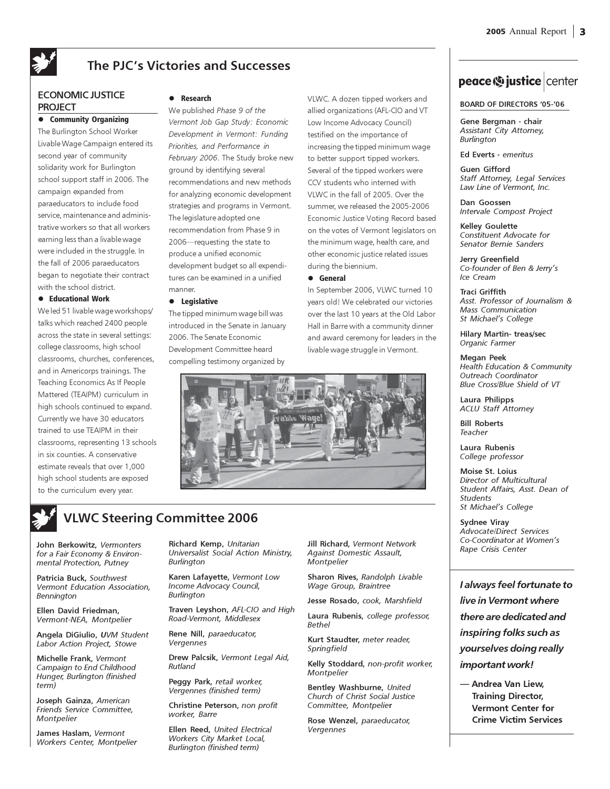# The PJC's Victories and Successes

#### ECONOMIC JUSTICE PROJECT

#### **•** Community Organizing

The Burlington School Worker Livable Wage Campaign entered its second year of community solidarity work for Burlington school support staff in 2006. The campaign expanded from paraeducators to include food service, maintenance and administrative workers so that all workers earning less than a livable wage were included in the struggle. In the fall of 2006 paraeducators began to negotiate their contract with the school district.

#### $\bullet$  Educational Work

We led 51 livable wage workshops/ talks which reached 2400 people across the state in several settings: college classrooms, high school classrooms, churches, conferences, and in Americorps trainings. The Teaching Economics As If People Mattered (TEAIPM) curriculum in high schools continued to expand. Currently we have 30 educators trained to use TEAIPM in their classrooms, representing 13 schools in six counties. A conservative estimate reveals that over 1,000 high school students are exposed to the curriculum every year.

#### $\bullet$ Research

We published Phase 9 of the Vermont Job Gap Study: Economic Development in Vermont: Funding Priorities, and Performance in February 2006. The Study broke new ground by identifying several recommendations and new methods for analyzing economic development strategies and programs in Vermont. The legislature adopted one recommendation from Phase 9 in 2006—requesting the state to produce a unified economic development budget so all expenditures can be examined in a unified manner.

#### **•** Legislative

The tipped minimum wage bill was introduced in the Senate in January 2006. The Senate Economic Development Committee heard compelling testimony organized by

VLWC. A dozen tipped workers and allied organizations (AFL-CIO and VT Low Income Advocacy Council) testified on the importance of increasing the tipped minimum wage to better support tipped workers. Several of the tipped workers were CCV students who interned with VLWC in the fall of 2005. Over the summer, we released the 2005-2006 Economic Justice Voting Record based on the votes of Vermont legislators on the minimum wage, health care, and other economic justice related issues during the biennium.

#### - General

In September 2006, VLWC turned 10 years old! We celebrated our victories over the last 10 years at the Old Labor Hall in Barre with a community dinner and award ceremony for leaders in the livable wage struggle in Vermont.



# VLWC Steering Committee 2006

John Berkowitz, Vermonters for a Fair Economy & Environmental Protection, Putney

Patricia Buck, Southwest Vermont Education Association, Bennington

Ellen David Friedman, Vermont-NEA, Montpelier

Angela DiGiulio, UVM Student Labor Action Project, Stowe

Michelle Frank, Vermont Campaign to End Childhood Hunger, Burlington (finished term)

Joseph Gainza, American Friends Service Committee, **Montpelier** 

James Haslam, Vermont Workers Center, Montpelier

Richard Kemp, Unitarian Universalist Social Action Ministry, Burlington

Karen Lafayette, Vermont Low Income Advocacy Council, **Burlington** 

Traven Leyshon, AFL-CIO and High Road-Vermont, Middlesex

Rene Nill, paraeducator, Vergennes

Drew Palcsik, Vermont Legal Aid, Rutland

Peggy Park, retail worker, Vergennes (finished term)

Christine Peterson, non profit worker, Barre

Ellen Reed, United Electrical Workers City Market Local, Burlington (finished term)

Jill Richard, Vermont Network Against Domestic Assault, **Montpelier** 

Sharon Rives, Randolph Livable Wage Group, Braintree

Jesse Rosado, cook, Marshfield

Laura Rubenis, college professor, Bethel

Kurt Staudter, meter reader, Springfield

Kelly Stoddard, non-profit worker, **Montpelier** 

Bentley Washburne, United Church of Christ Social Justice Committee, Montpelier

Rose Wenzel, paraeducator, Vergennes

# peace <a>b</a> justice | center

BOARD OF DIRECTORS '05-'06

Gene Bergman - chair Assistant City Attorney, Burlington

Ed Everts - emeritus

Guen Gifford Staff Attorney, Legal Services Law Line of Vermont, Inc.

Dan Goossen Intervale Compost Project

Kelley Goulette Constituent Advocate for Senator Bernie Sanders

Jerry Greenfield Co-founder of Ben & Jerry's Ice Cream

Traci Griffith Asst. Professor of Journalism & Mass Communication St Michael's College

Hilary Martin- treas/sec Organic Farmer

Megan Peek Health Education & Community Outreach Coordinator Blue Cross/Blue Shield of VT

Laura Philipps ACLU Staff Attorney

Bill Roberts Teacher

Laura Rubenis College professor

Moise St. Loius Director of Multicultural Student Affairs, Asst. Dean of Students St Michael's College

Sydnee Viray Advocate/Direct Services Co-Coordinator at Women's Rape Crisis Center

I always feel fortunate to live in Vermont where there are dedicated and inspiring folks such as yourselves doing really important work!

— Andrea Van Liew, Training Director, Vermont Center for Crime Victim Services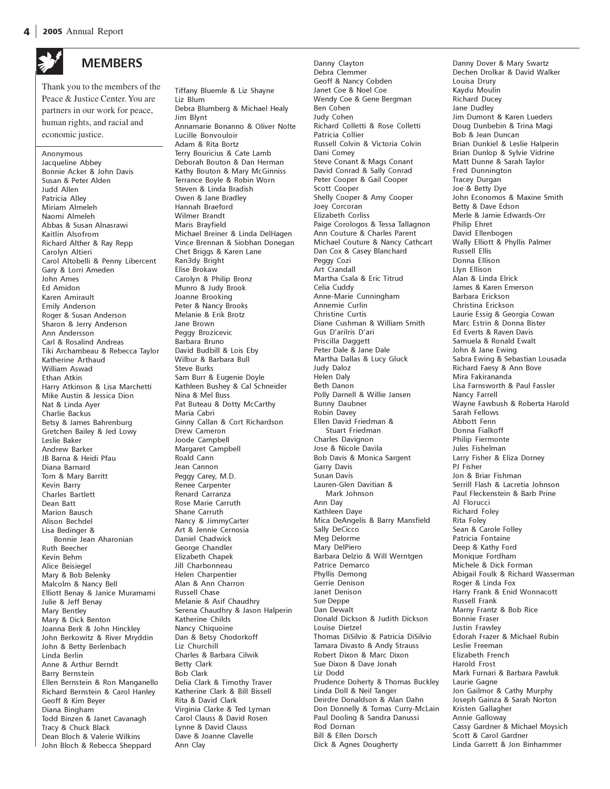

## **MEMBERS**

Thank you to the members of the Peace & Justice Center. You are partners in our work for peace, human rights, and racial and economic justice.

Anonymous Jacqueline Abbey Bonnie Acker & John Davis Susan & Peter Alden Judd Allen Patricia Alley Miriam Almeleh Naomi Almeleh Abbas & Susan Alnasrawi Kaitlin Alsofrom Richard Alther & Ray Repp Carolyn Altieri Carol Altobelli & Penny Libercent Gary & Lorri Ameden John Ames Ed Amidon Karen Amirault Emily Anderson Roger & Susan Anderson Sharon & Jerry Anderson Ann Andersson Carl & Rosalind Andreas Tiki Archambeau & Rebecca Taylor Katherine Arthaud William Aswad Ethan Atkin Harry Atkinson & Lisa Marchetti Mike Austin & Jessica Dion Nat & Linda Ayer Charlie Backus Betsy & James Bahrenburg Gretchen Bailey & Jed Lowy Leslie Baker Andrew Barker JB Barna & Heidi Pfau Diana Barnard Tom & Mary Barritt Kevin Barry Charles Bartlett Dean Batt Marion Bausch Alison Bechdel Lisa Bedinger & Bonnie Jean Aharonian Ruth Beecher Kevin Behm Alice Beisiegel Mary & Bob Belenky Malcolm & Nancy Bell Elliott Benay & Janice Muramami Julie & Jeff Benay Mary Bentley Mary & Dick Benton Joanna Berk & John Hinckley John Berkowitz & River Mryddin John & Betty Berlenbach Linda Berlin Anne & Arthur Berndt Barry Bernstein Ellen Bernstein & Ron Manganello Richard Bernstein & Carol Hanley Geoff & Kim Beyer Diana Bingham Todd Binzen & Janet Cavanagh Tracy & Chuck Black Dean Bloch & Valerie Wilkins John Bloch & Rebecca Sheppard

Tiffany Bluemle & Liz Shayne Liz Blum Debra Blumberg & Michael Healy Jim Blynt Annamarie Bonanno & Oliver Nolte Lucille Bonvouloir Adam & Rita Bortz Terry Bouricius & Cate Lamb Deborah Bouton & Dan Herman Kathy Bouton & Mary McGinniss Terrance Boyle & Robin Worn Steven & Linda Bradish Owen & Jane Bradley Hannah Braeford Wilmer Brandt Maris Brayfield Michael Breiner & Linda DelHagen Vince Brennan & Siobhan Donegan Chet Briggs & Karen Lane Ran3dy Bright Elise Brokaw Carolyn & Philip Bronz Munro & Judy Brook Joanne Brooking Peter & Nancy Brooks Melanie & Erik Brotz Jane Brown Peggy Brozicevic Barbara Bruno David Budbill & Lois Eby Wilbur & Barbara Bull Steve Burks Sam Burr & Eugenie Doyle Kathleen Bushey & Cal Schneider Nina & Mel Buss Pat Buteau & Dotty McCarthy Maria Cabri Ginny Callan & Cort Richardson Drew Cameron Joode Campbell Margaret Campbell Roald Cann Jean Cannon Peggy Carey, M.D. Renee Carpenter Renard Carranza Rose Marie Carruth Shane Carruth Nancy & JimmyCarter Art & Jennie Cernosia Daniel Chadwick George Chandler Elizabeth Chapek Jill Charbonneau Helen Charpentier Alan & Ann Charron Russell Chase Melanie & Asif Chaudhry Serena Chaudhry & Jason Halperin Katherine Childs Nancy Chiquoine Dan & Betsy Chodorkoff Liz Churchill Charles & Barbara Cilwik Betty Clark Bob Clark Delia Clark & Timothy Traver Katherine Clark & Bill Bissell Rita & David Clark Virginia Clarke & Ted Lyman Carol Clauss & David Rosen Lynne & David Clauss Dave & Joanne Clavelle Ann Clay

Danny Clayton Debra Clemmer Geoff & Nancy Cobden Janet Coe & Noel Coe Wendy Coe & Gene Bergman Ben Cohen Judy Cohen Richard Colletti & Rose Colletti Patricia Collier Russell Colvin & Victoria Colvin Dani Comey Steve Conant & Mags Conant David Conrad & Sally Conrad Peter Cooper & Gail Cooper Scott Cooper Shelly Cooper & Amy Cooper Joey Corcoran Elizabeth Corliss Paige Corologos & Tessa Tallagnon Ann Couture & Charles Parent Michael Couture & Nancy Cathcart Dan Cox & Casey Blanchard Peggy Cozi Art Crandall Martha Csala & Eric Titrud Celia Cuddy Anne-Marie Cunningham Annemie Curlin Christine Curtis Diane Cushman & William Smith Gus D'arilris D'ari Priscilla Daggett Peter Dale & Jane Dale Martha Dallas & Lucy Gluck Judy Daloz Helen Daly Beth Danon Polly Darnell & Willie Jansen Bunny Daubner Robin Davey Ellen David Friedman & Stuart Friedman Charles Davignon Jose & Nicole Davila Bob Davis & Monica Sargent Garry Davis Susan Davis Lauren-Glen Davitian & Mark Johnson Ann Day Kathleen Daye Mica DeAngelis & Barry Mansfield Sally DeCicco Meg Delorme Mary DelPiero Barbara Delzio & Will Werntgen Patrice Demarco Phyllis Demong Gerrie Denison Janet Denison Sue Deppe Dan Dewalt Donald Dickson & Judith Dickson Louise Dietzel Thomas DiSilvio & Patricia DiSilvio Tamara Divasto & Andy Strauss Robert Dixon & Marc Dixon Sue Dixon & Dave Jonah Liz Dodd Prudence Doherty & Thomas Buckley Linda Doll & Neil Tanger Deirdre Donaldson & Alan Dahn Don Donnelly & Tomas Curry-McLain Paul Dooling & Sandra Danussi Rod Dornan Bill & Ellen Dorsch Dick & Agnes Dougherty

Danny Dover & Mary Swartz Dechen Drolkar & David Walker Louisa Drury Kaydu Moulin Richard Ducey Jane Dudley Jim Dumont & Karen Lueders Doug Dunbebin & Trina Magi Bob & Jean Duncan Brian Dunkiel & Leslie Halperin Brian Dunlop & Sylvie Vidrine Matt Dunne & Sarah Taylor Fred Dunnington Tracey Durgan Joe & Betty Dye John Economos & Maxine Smith Betty & Dave Edson Merle & Jamie Edwards-Orr Philip Ehret David Ellenbogen Wally Elliott & Phyllis Palmer Russell Ellis Donna Ellison Llyn Ellison Alan & Linda Elrick James & Karen Emerson Barbara Erickson Christina Erickson Laurie Essig & Georgia Cowan Marc Estrin & Donna Bister Ed Everts & Raven Davis Samuela & Ronald Ewalt John & Jane Ewing Sabra Ewing & Sebastian Lousada Richard Faesy & Ann Bove Mira Fakirananda Lisa Farnsworth & Paul Fassler Nancy Farrell Wayne Fawbush & Roberta Harold Sarah Fellows Abbott Fenn Donna Fialkoff Philip Fiermonte Jules Fishelman Larry Fisher & Eliza Dorney PJ Fisher Jon & Briar Fishman Serrill Flash & Lacretia Johnson Paul Fleckenstein & Barb Prine Al Florucci Richard Foley Rita Foley Sean & Carole Folley Patricia Fontaine Deep & Kathy Ford Monique Fordham Michele & Dick Forman Abigail Foulk & Richard Wasserman Roger & Linda Fox Harry Frank & Enid Wonnacott Russell Frank Marny Frantz & Bob Rice Bonnie Fraser Justin Frawley Edorah Frazer & Michael Rubin Leslie Freeman Elizabeth French Harold Frost Mark Furnari & Barbara Pawluk Laurie Gagne Jon Gailmor & Cathy Murphy Joseph Gainza & Sarah Norton Kristen Gallagher Annie Galloway Cassy Gardner & Michael Moysich Scott & Carol Gardner

Linda Garrett & Jon Binhammer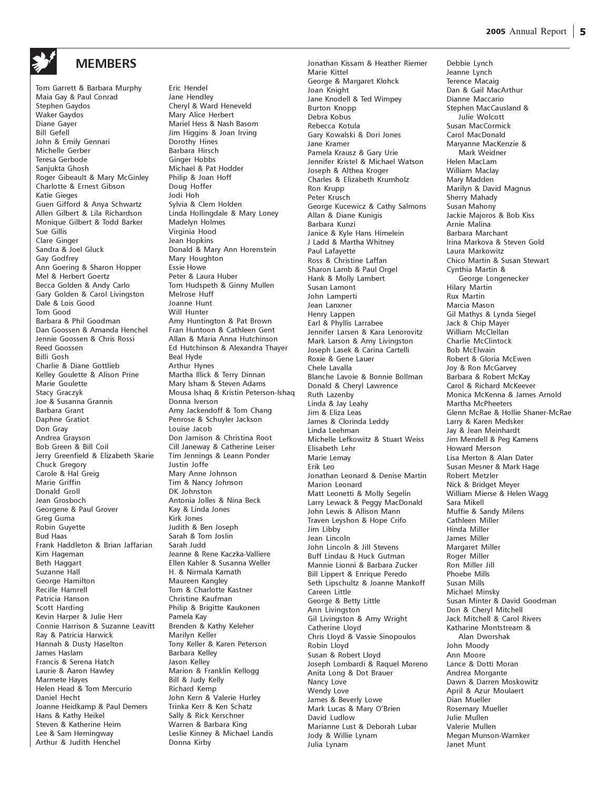

### **MEMBERS**

Tom Garrett & Barbara Murphy Maia Gay & Paul Conrad Stephen Gaydos Waker Gaydos Diane Gayer Bill Gefell John & Emily Gennari Michelle Gerber Teresa Gerbode Sanjukta Ghosh Roger Gibeault & Mary McGinley Charlotte & Ernest Gibson Katie Gieges Guen Gifford & Anya Schwartz Allen Gilbert & Lila Richardson Monique Gilbert & Todd Barker Sue Gillis Clare Ginger Sandra & Joel Gluck Gay Godfrey Ann Goering & Sharon Hopper Mel & Herbert Goertz Becca Golden & Andy Carlo Gary Golden & Carol Livingston Dale & Lois Good Tom Good Barbara & Phil Goodman Dan Goossen & Amanda Henchel Jennie Goossen & Chris Rossi Reed Goossen Billi Gosh Charlie & Diane Gottlieb Kelley Goulette & Alison Prine Marie Goulette Stacy Graczyk Joe & Susanna Grannis Barbara Grant Daphne Gratiot Don Gray Andrea Grayson Bob Green & Bill Coil Jerry Greenfield & Elizabeth Skarie Chuck Gregory Carole & Hal Greig Marie Griffin Donald Groll Jean Grosboch Georgene & Paul Grover Greg Guma Robin Guyette Bud Haas Frank Haddleton & Brian Jaffarian Kim Hageman Beth Haggart Suzanne Hall George Hamilton Recille Hamrell Patricia Hanson Scott Harding Kevin Harper & Julie Herr Connie Harrison & Suzanne Leavitt Ray & Patricia Harwick Hannah & Dusty Haselton James Haslam Francis & Serena Hatch Laurie & Aaron Hawley Marmete Hayes Helen Head & Tom Mercurio Daniel Hecht Joanne Heidkamp & Paul Demers Hans & Kathy Heikel Steven & Katherine Heim Lee & Sam Hemingway Arthur & Judith Henchel

Eric Hendel Jane Hendley Cheryl & Ward Heneveld Mary Alice Herbert Mariel Hess & Nash Basom Jim Higgins & Joan Irving Dorothy Hines Barbara Hirsch Ginger Hobbs Michael & Pat Hodder Philip & Joan Hoff Doug Hoffer Jodi Hoh Sylvia & Clem Holden Linda Hollingdale & Mary Loney Madelyn Holmes Virginia Hood Jean Hopkins Donald & Mary Ann Horenstein Mary Houghton Essie Howe Peter & Laura Huber Tom Hudspeth & Ginny Mullen Melrose Huff Joanne Hunt Will Hunter Amy Huntington & Pat Brown Fran Huntoon & Cathleen Gent Allan & Maria Anna Hutchinson Ed Hutchinson & Alexandra Thayer Beal Hyde Arthur Hynes Martha Illick & Terry Dinnan Mary Isham & Steven Adams Mousa Ishaq & Kristin Peterson-Ishaq Donna Iverson Amy Jackendoff & Tom Chang Penrose & Schuyler Jackson Louise Jacob Don Jamison & Christina Root Cill Janeway & Catherine Leiser Tim Jennings & Leann Ponder Justin Joffe Mary Anne Johnson Tim & Nancy Johnson DK Johnston Antonia Jolles & Nina Beck Kay & Linda Jones Kirk Jones Judith & Ben Joseph Sarah & Tom Joslin Sarah Judd Jeanne & Rene Kaczka-Valliere Ellen Kahler & Susanna Weller H. & Nirmala Kamath Maureen Kangley Tom & Charlotte Kastner Christine Kaufman Philip & Brigitte Kaukonen Pamela Kay Brenden & Kathy Keleher Marilyn Keller Tony Keller & Karen Peterson Barbara Kelley Jason Kelley Marion & Franklin Kellogg Bill & Judy Kelly Richard Kemp John Kern & Valerie Hurley Trinka Kerr & Ken Schatz Sally & Rick Kerschner Warren & Barbara King Leslie Kinney & Michael Landis Donna Kirby

Jonathan Kissam & Heather Riemer Marie Kittel George & Margaret Klohck Joan Knight Jane Knodell & Ted Wimpey Burton Knopp Debra Kobus Rebecca Kotula Gary Kowalski & Dori Jones Jane Kramer Pamela Krausz & Gary Urie Jennifer Kristel & Michael Watson Joseph & Althea Kroger Charles & Elizabeth Krumholz Ron Krupp Peter Krusch George Kucewicz & Cathy Salmons Allan & Diane Kunigis Barbara Kunzi Janice & Kyle Hans Himelein J Ladd & Martha Whitney Paul Lafayette Ross & Christine Laffan Sharon Lamb & Paul Orgel Hank & Molly Lambert Susan Lamont John Lamperti Jean Lanxner Henry Lappen Earl & Phyllis Larrabee Jennifer Larsen & Kara Lenorovitz Mark Larson & Amy Livingston Joseph Lasek & Carina Cartelli Roxie & Gene Lauer Chele Lavalla Blanche Lavoie & Bonnie Bollman Donald & Cheryl Lawrence Ruth Lazenby Linda & Jay Leahy Jim & Eliza Leas James & Clorinda Leddy Linda Leehman Michelle Lefkowitz & Stuart Weiss Elisabeth Lehr Marie Lemay Erik Leo Jonathan Leonard & Denise Martin Marion Leonard Matt Leonetti & Molly Segelin Larry Lewack & Peggy MacDonald John Lewis & Allison Mann Traven Leyshon & Hope Crifo Jim Libby Jean Lincoln John Lincoln & Jill Stevens Buff Lindau & Huck Gutman Mannie Lionni & Barbara Zucker Bill Lippert & Enrique Peredo Seth Lipschultz & Joanne Mankoff Careen Little George & Betty Little Ann Livingston Gil Livingston & Amy Wright Catherine Lloyd Chris Lloyd & Vassie Sinopoulos Robin Lloyd Susan & Robert Lloyd Joseph Lombardi & Raquel Moreno Anita Long & Dot Brauer Nancy Love Wendy Love James & Beverly Lowe Mark Lucas & Mary O'Brien David Ludlow Marianne Lust & Deborah Lubar Jody & Willie Lynam Julia Lynam

Debbie Lynch Jeanne Lynch Terence Macaig Dan & Gail MacArthur Dianne Maccario Stephen MacCausland & Julie Wolcott Susan MacCormick Carol MacDonald Maryanne MacKenzie & Mark Weidner Helen MacLam William Maclay Mary Madden Marilyn & David Magnus Sherry Mahady Susan Mahony Jackie Majoros & Bob Kiss Arnie Malina Barbara Marchant Irina Markova & Steven Gold Laura Markowitz Chico Martin & Susan Stewart Cynthia Martin & George Longenecker Hilary Martin Rux Martin Marcia Mason Gil Mathys & Lynda Siegel Jack & Chip Mayer William McClellan Charlie McClintock Bob McElwain Robert & Gloria McEwen Joy & Ron McGarvey Barbara & Robert McKay Carol & Richard McKeever Monica McKenna & James Arnold Martha McPheeters Glenn McRae & Hollie Shaner-McRae Larry & Karen Medsker Jay & Jean Meinhardt Jim Mendell & Peg Kamens Howard Merson Lisa Merton & Alan Dater Susan Mesner & Mark Hage Robert Metzler Nick & Bridget Meyer William Mierse & Helen Wagg Sara Mikell Muffie & Sandy Milens Cathleen Miller Hinda Miller James Miller Margaret Miller Roger Miller Ron Miller Jill Phoebe Mills Susan Mills Michael Minsky Susan Minter & David Goodman Don & Cheryl Mitchell Jack Mitchell & Carol Rivers Katharine Montstream & Alan Dworshak John Moody Ann Moore Lance & Dotti Moran Andrea Morgante Dawn & Darren Moskowitz April & Azur Moulaert Dian Mueller Rosemary Mueller Julie Mullen Valerie Mullen Megan Munson-Warnker Janet Munt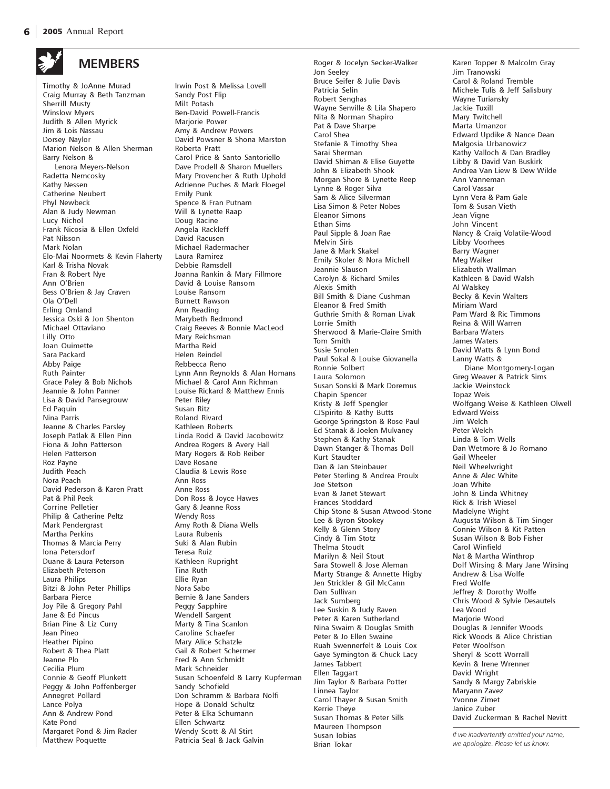

# **MEMBERS**

Timothy & JoAnne Murad Craig Murray & Beth Tanzman Sherrill Musty Winslow Myers Judith & Allen Myrick Jim & Lois Nassau Dorsey Naylor Marion Nelson & Allen Sherman Barry Nelson & Lenora Meyers-Nelson Radetta Nemcosky Kathy Nessen Catherine Neubert Phyl Newbeck Alan & Judy Newman Lucy Nichol Frank Nicosia & Ellen Oxfeld Pat Nilsson Mark Nolan Elo-Mai Noormets & Kevin Flaherty Karl & Trisha Novak Fran & Robert Nye Ann O'Brien Bess O'Brien & Jay Craven Ola O'Dell Erling Omland Jessica Oski & Jon Shenton Michael Ottaviano Lilly Otto Joan Ouimette Sara Packard Abby Paige Ruth Painter Grace Paley & Bob Nichols Jeannie & John Panner Lisa & David Pansegrouw Ed Paquin Nina Parris Jeanne & Charles Parsley Joseph Patlak & Ellen Pinn Fiona & John Patterson Helen Patterson Roz Payne Judith Peach Nora Peach David Pederson & Karen Pratt Pat & Phil Peek Corrine Pelletier Philip & Catherine Peltz Mark Pendergrast Martha Perkins Thomas & Marcia Perry Iona Petersdorf Duane & Laura Peterson Elizabeth Peterson Laura Philips Bitzi & John Peter Phillips Barbara Pierce Joy Pile & Gregory Pahl Jane & Ed Pincus Brian Pine & Liz Curry Jean Pineo Heather Pipino Robert & Thea Platt Jeanne Plo Cecilia Plum Connie & Geoff Plunkett Peggy & John Poffenberger Annegret Pollard Lance Polya Ann & Andrew Pond Kate Pond Margaret Pond & Jim Rader Matthew Poquette

Irwin Post & Melissa Lovell Sandy Post Flip Milt Potash Ben-David Powell-Francis Marjorie Power Amy & Andrew Powers David Powsner & Shona Marston Roberta Pratt Carol Price & Santo Santoriello Dave Prodell & Sharon Muellers Mary Provencher & Ruth Uphold Adrienne Puches & Mark Floegel Emily Punk Spence & Fran Putnam Will & Lynette Raap Doug Racine Angela Rackleff David Racusen Michael Radermacher Laura Ramirez Debbie Ramsdell Joanna Rankin & Mary Fillmore David & Louise Ransom Louise Ransom Burnett Rawson Ann Reading Marybeth Redmond Craig Reeves & Bonnie MacLeod Mary Reichsman Martha Reid Helen Reindel Rebbecca Reno Lynn Ann Reynolds & Alan Homans Michael & Carol Ann Richman Louise Rickard & Matthew Ennis Peter Riley Susan Ritz Roland Rivard Kathleen Roberts Linda Rodd & David Jacobowitz Andrea Rogers & Avery Hall Mary Rogers & Rob Reiber Dave Rosane Claudia & Lewis Rose Ann Ross Anne Ross Don Ross & Joyce Hawes Gary & Jeanne Ross Wendy Ross Amy Roth & Diana Wells Laura Rubenis Suki & Alan Rubin Teresa Ruiz Kathleen Rupright Tina Ruth Ellie Ryan Nora Sabo Bernie & Jane Sanders Peggy Sapphire Wendell Sargent Marty & Tina Scanlon Caroline Schaefer Mary Alice Schatzle Gail & Robert Schermer Fred & Ann Schmidt Mark Schneider Susan Schoenfeld & Larry Kupferman Sandy Schofield Don Schramm & Barbara Nolfi Hope & Donald Schultz Peter & Elka Schumann Ellen Schwartz Wendy Scott & Al Stirt Patricia Seal & Jack Galvin

Roger & Jocelyn Secker-Walker Jon Seeley Bruce Seifer & Julie Davis Patricia Selin Robert Senghas Wayne Senville & Lila Shapero Nita & Norman Shapiro Pat & Dave Sharpe Carol Shea Stefanie & Timothy Shea Sarai Sherman David Shiman & Elise Guyette John & Elizabeth Shook Morgan Shore & Lynette Reep Lynne & Roger Silva Sam & Alice Silverman Lisa Simon & Peter Nobes Eleanor Simons Ethan Sims Paul Sipple & Joan Rae Melvin Siris Jane & Mark Skakel Emily Skoler & Nora Michell Jeannie Slauson Carolyn & Richard Smiles Alexis Smith Bill Smith & Diane Cushman Eleanor & Fred Smith Guthrie Smith & Roman Livak Lorrie Smith Sherwood & Marie-Claire Smith Tom Smith Susie Smolen Paul Sokal & Louise Giovanella Ronnie Solbert Laura Solomon Susan Sonski & Mark Doremus Chapin Spencer Kristy & Jeff Spengler CJSpirito & Kathy Butts George Springston & Rose Paul Ed Stanak & Joelen Mulvaney Stephen & Kathy Stanak Dawn Stanger & Thomas Doll Kurt Staudter Dan & Jan Steinbauer Peter Sterling & Andrea Proulx Joe Stetson Evan & Janet Stewart Frances Stoddard Chip Stone & Susan Atwood-Stone Lee & Byron Stookey Kelly & Glenn Story Cindy & Tim Stotz Thelma Stoudt Marilyn & Neil Stout Sara Stowell & Jose Aleman Marty Strange & Annette Higby Jen Strickler & Gil McCann Dan Sullivan Jack Sumberg Lee Suskin & Judy Raven Peter & Karen Sutherland Nina Swaim & Douglas Smith Peter & Jo Ellen Swaine Ruah Swennerfelt & Louis Cox Gaye Symington & Chuck Lacy James Tabbert Ellen Taggart Jim Taylor & Barbara Potter Linnea Taylor Carol Thayer & Susan Smith Kerrie Theye Susan Thomas & Peter Sills Maureen Thompson Susan Tobias Brian Tokar

Karen Topper & Malcolm Gray Jim Tranowski Carol & Roland Tremble Michele Tulis & Jeff Salisbury Wayne Turiansky Jackie Tuxill Mary Twitchell Marta Umanzor Edward Updike & Nance Dean Malgosia Urbanowicz Kathy Valloch & Dan Bradley Libby & David Van Buskirk Andrea Van Liew & Dew Wilde Ann Vanneman Carol Vassar Lynn Vera & Pam Gale Tom & Susan Vieth Jean Vigne John Vincent Nancy & Craig Volatile-Wood Libby Voorhees Barry Wagner Meg Walker Elizabeth Wallman Kathleen & David Walsh Al Walskey Becky & Kevin Walters Miriam Ward Pam Ward & Ric Timmons Reina & Will Warren Barbara Waters James Waters David Watts & Lynn Bond Lanny Watts & Diane Montgomery-Logan Greg Weaver & Patrick Sims Jackie Weinstock Topaz Weis Wolfgang Weise & Kathleen Olwell Edward Weiss Jim Welch Peter Welch Linda & Tom Wells Dan Wetmore & Jo Romano Gail Wheeler Neil Wheelwright Anne & Alec White Joan White John & Linda Whitney Rick & Trish Wiesel Madelyne Wight Augusta Wilson & Tim Singer Connie Wilson & Kit Patten Susan Wilson & Bob Fisher Carol Winfield Nat & Martha Winthrop Dolf Wirsing & Mary Jane Wirsing Andrew & Lisa Wolfe Fred Wolfe Jeffrey & Dorothy Wolfe Chris Wood & Sylvie Desautels Lea Wood Marjorie Wood Douglas & Jennifer Woods Rick Woods & Alice Christian Peter Woolfson Sheryl & Scott Worrall Kevin & Irene Wrenner David Wright Sandy & Margy Zabriskie Maryann Zavez Yvonne Zimet Janice Zuber David Zuckerman & Rachel Nevitt

If we inadvertently omitted your name, we apologize. Please let us know.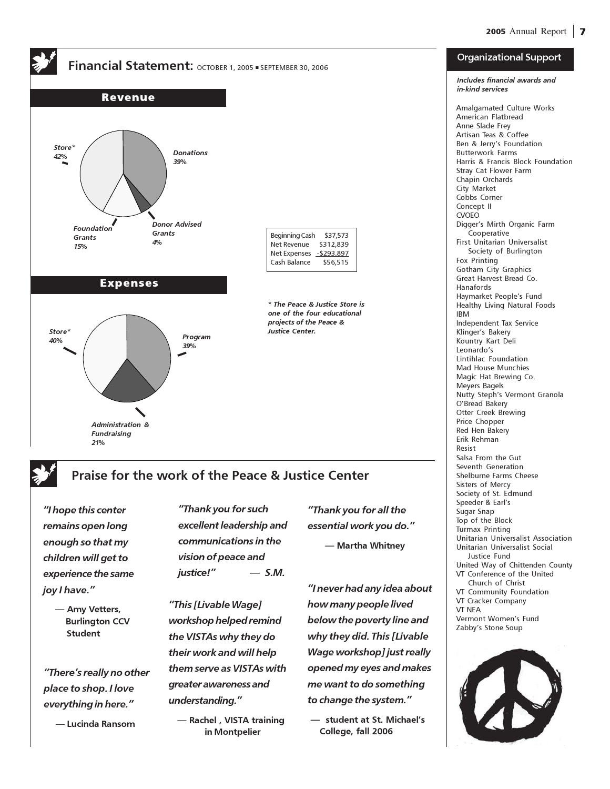

## Praise for the work of the Peace & Justice Center

"I hope this center remains open long enough so that my children will get to experience the same joy I have."

> — Amy Vetters, Burlington CCV Student

"There's really no other place to shop. I love everything in here."

— Lucinda Ransom

"Thank you for such excellent leadership and communications in the vision of peace and  $justice!"$  - S.M.

"This [Livable Wage] workshop helped remind the VISTAs why they do their work and will help them serve as VISTAs with greater awareness and understanding."

 — Rachel , VISTA training in Montpelier

"Thank you for all the essential work you do." — Martha Whitney

"I never had any idea about how many people lived below the poverty line and why they did. This [Livable Wage workshop] just really opened my eyes and makes me want to do something to change the system."

 — student at St. Michael's College, fall 2006

#### Organizational Support

Includes financial awards and

in-kind services Amalgamated Culture Works American Flatbread Anne Slade Frey Artisan Teas & Coffee Ben & Jerry's Foundation Butterwork Farms Harris & Francis Block Foundation Stray Cat Flower Farm Chapin Orchards City Market Cobbs Corner Concept II CVOEO Digger's Mirth Organic Farm Cooperative First Unitarian Universalist Society of Burlington Fox Printing Gotham City Graphics Great Harvest Bread Co. Hanafords Haymarket People's Fund Healthy Living Natural Foods IBM Independent Tax Service Klinger's Bakery Kountry Kart Deli Leonardo's Lintihlac Foundation Mad House Munchies Magic Hat Brewing Co. Meyers Bagels Nutty Steph's Vermont Granola O'Bread Bakery Otter Creek Brewing Price Chopper Red Hen Bakery Erik Rehman Resist Salsa From the Gut Seventh Generation Shelburne Farms Cheese Sisters of Mercy Society of St. Edmund Speeder & Earl's Sugar Snap Top of the Block Turmax Printing Unitarian Universalist Association Unitarian Universalist Social Justice Fund United Way of Chittenden County VT Conference of the United Church of Christ VT Community Foundation VT Cracker Company VT NEA Vermont Women's Fund Zabby's Stone Soup